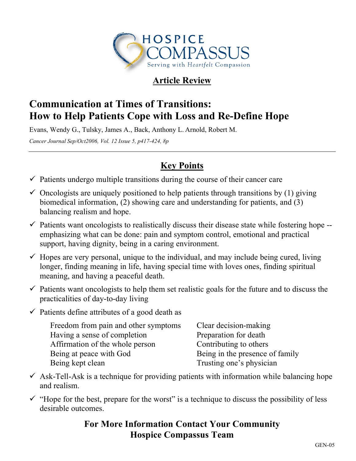

## **Article Review**

# **Communication at Times of Transitions: How to Help Patients Cope with Loss and Re-Define Hope**

Evans, Wendy G., Tulsky, James A., Back, Anthony L. Arnold, Robert M. *Cancer Journal Sep/Oct2006, Vol. 12 Issue 5, p417-424, 8p*

## **Key Points**

- $\checkmark$  Patients undergo multiple transitions during the course of their cancer care
- $\checkmark$  Oncologists are uniquely positioned to help patients through transitions by (1) giving biomedical information, (2) showing care and understanding for patients, and (3) balancing realism and hope.
- $\checkmark$  Patients want oncologists to realistically discuss their disease state while fostering hope -emphasizing what can be done: pain and symptom control, emotional and practical support, having dignity, being in a caring environment.
- $\checkmark$  Hopes are very personal, unique to the individual, and may include being cured, living longer, finding meaning in life, having special time with loves ones, finding spiritual meaning, and having a peaceful death.
- $\checkmark$  Patients want oncologists to help them set realistic goals for the future and to discuss the practicalities of day-to-day living
- $\checkmark$  Patients define attributes of a good death as

| Freedom from pain and other symptoms | Clear decision-making           |
|--------------------------------------|---------------------------------|
| Having a sense of completion         | Preparation for death           |
| Affirmation of the whole person      | Contributing to others          |
| Being at peace with God              | Being in the presence of family |
| Being kept clean                     | Trusting one's physician        |

- $\checkmark$  Ask-Tell-Ask is a technique for providing patients with information while balancing hope and realism.
- $\checkmark$  "Hope for the best, prepare for the worst" is a technique to discuss the possibility of less desirable outcomes.

### **For More Information Contact Your Community Hospice Compassus Team**